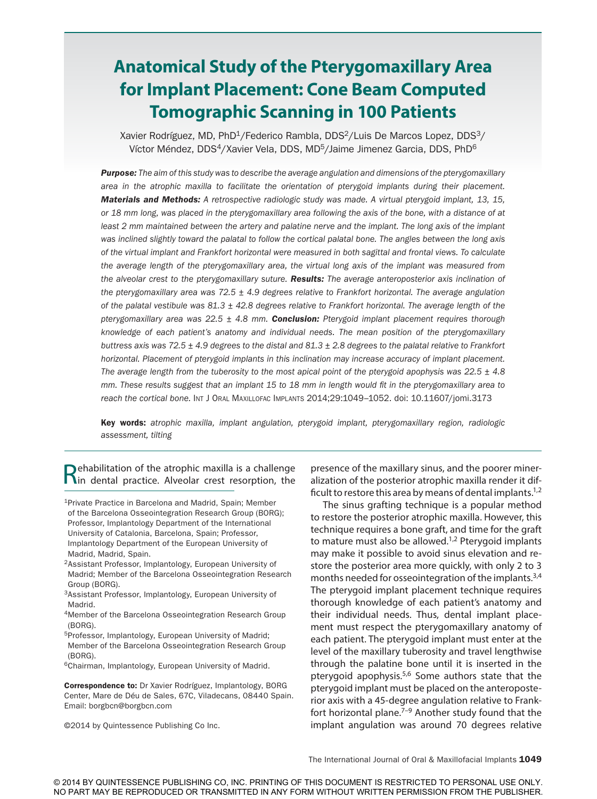# **Anatomical Study of the Pterygomaxillary Area for Implant Placement: Cone Beam Computed Tomographic Scanning in 100 Patients**

Xavier Rodríguez, MD, PhD<sup>1</sup>/Federico Rambla, DDS<sup>2</sup>/Luis De Marcos Lopez, DDS<sup>3</sup>/ Víctor Méndez, DDS<sup>4</sup>/Xavier Vela, DDS, MD<sup>5</sup>/Jaime Jimenez Garcia, DDS, PhD<sup>6</sup>

*Purpose: The aim of this study was to describe the average angulation and dimensions of the pterygomaxillary area in the atrophic maxilla to facilitate the orientation of pterygoid implants during their placement. Materials and Methods: A retrospective radiologic study was made. A virtual pterygoid implant, 13, 15, or 18 mm long, was placed in the pterygomaxillary area following the axis of the bone, with a distance of at least 2 mm maintained between the artery and palatine nerve and the implant. The long axis of the implant was inclined slightly toward the palatal to follow the cortical palatal bone. The angles between the long axis of the virtual implant and Frankfort horizontal were measured in both sagittal and frontal views. To calculate the average length of the pterygomaxillary area, the virtual long axis of the implant was measured from the alveolar crest to the pterygomaxillary suture. Results: The average anteroposterior axis inclination of the pterygomaxillary area was 72.5 ± 4.9 degrees relative to Frankfort horizontal. The average angulation of the palatal vestibule was 81.3 ± 42.8 degrees relative to Frankfort horizontal. The average length of the pterygomaxillary area was 22.5 ± 4.8 mm. Conclusion: Pterygoid implant placement requires thorough knowledge of each patient's anatomy and individual needs. The mean position of the pterygomaxillary buttress axis was 72.5 ± 4.9 degrees to the distal and 81.3 ± 2.8 degrees to the palatal relative to Frankfort horizontal. Placement of pterygoid implants in this inclination may increase accuracy of implant placement. The average length from the tuberosity to the most apical point of the pterygoid apophysis was 22.5 ± 4.8 mm. These results suggest that an implant 15 to 18 mm in length would fit in the pterygomaxillary area to reach the cortical bone.* Int J Oral Maxillofac Implants 2014;29:1049–1052. doi: 10.11607/jomi.3173

Key words: *atrophic maxilla, implant angulation, pterygoid implant, pterygomaxillary region, radiologic assessment, tilting*

Rehabilitation of the atrophic maxilla is a challenge<br>
Nin dental practice. Alveolar crest resorption, the

- 2Assistant Professor, Implantology, European University of Madrid; Member of the Barcelona Osseointegration Research Group (BORG).
- 3Assistant Professor, Implantology, European University of Madrid.
- 4Member of the Barcelona Osseointegration Research Group (BORG).
- 5Professor, Implantology, European University of Madrid; Member of the Barcelona Osseointegration Research Group (BORG).
- 6Chairman, Implantology, European University of Madrid.

Correspondence to: Dr Xavier Rodríguez, Implantology, BORG Center, Mare de Déu de Sales, 67C, Viladecans, 08440 Spain. Email: borgbcn@borgbcn.com

©2014 by Quintessence Publishing Co Inc.

presence of the maxillary sinus, and the poorer mineralization of the posterior atrophic maxilla render it difficult to restore this area by means of dental implants.<sup>1,2</sup>

The sinus grafting technique is a popular method to restore the posterior atrophic maxilla. However, this technique requires a bone graft, and time for the graft to mature must also be allowed.<sup>1,2</sup> Pterygoid implants may make it possible to avoid sinus elevation and restore the posterior area more quickly, with only 2 to 3 months needed for osseointegration of the implants.3,4 The pterygoid implant placement technique requires thorough knowledge of each patient's anatomy and their individual needs. Thus, dental implant placement must respect the pterygomaxillary anatomy of each patient. The pterygoid implant must enter at the level of the maxillary tuberosity and travel lengthwise through the palatine bone until it is inserted in the pterygoid apophysis. $5,6$  Some authors state that the pterygoid implant must be placed on the anteroposterior axis with a 45-degree angulation relative to Frankfort horizontal plane. $7-9$  Another study found that the implant angulation was around 70 degrees relative

The International Journal of Oral & Maxillofacial Implants 1049

<sup>&</sup>lt;sup>1</sup>Private Practice in Barcelona and Madrid, Spain; Member of the Barcelona Osseointegration Research Group (BORG); Professor, Implantology Department of the International University of Catalonia, Barcelona, Spain; Professor, Implantology Department of the European University of Madrid, Madrid, Spain.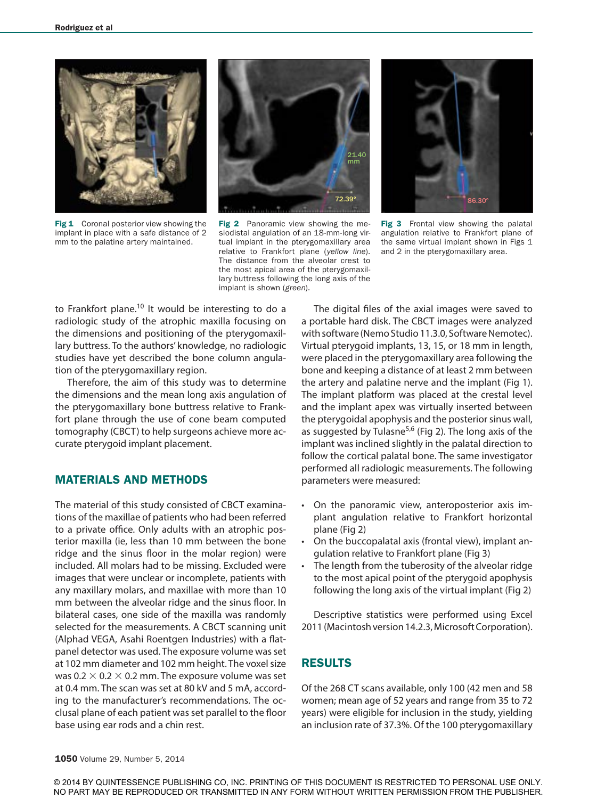

Fig 1 Coronal posterior view showing the implant in place with a safe distance of 2 mm to the palatine artery maintained.



Fig 2 Panoramic view showing the mesiodistal angulation of an 18-mm-long virtual implant in the pterygomaxillary area relative to Frankfort plane (*yellow line*). The distance from the alveolar crest to the most apical area of the pterygomaxillary buttress following the long axis of the implant is shown (*green*).



Fig 3 Frontal view showing the palatal angulation relative to Frankfort plane of the same virtual implant shown in Figs 1 and 2 in the pterygomaxillary area.

to Frankfort plane.<sup>10</sup> It would be interesting to do a radiologic study of the atrophic maxilla focusing on the dimensions and positioning of the pterygomaxillary buttress. To the authors' knowledge, no radiologic studies have yet described the bone column angulation of the pterygomaxillary region.

Therefore, the aim of this study was to determine the dimensions and the mean long axis angulation of the pterygomaxillary bone buttress relative to Frankfort plane through the use of cone beam computed tomography (CBCT) to help surgeons achieve more accurate pterygoid implant placement.

### MATERIALS AND METHODS

The material of this study consisted of CBCT examinations of the maxillae of patients who had been referred to a private office. Only adults with an atrophic posterior maxilla (ie, less than 10 mm between the bone ridge and the sinus floor in the molar region) were included. All molars had to be missing. Excluded were images that were unclear or incomplete, patients with any maxillary molars, and maxillae with more than 10 mm between the alveolar ridge and the sinus floor. In bilateral cases, one side of the maxilla was randomly selected for the measurements. A CBCT scanning unit (Alphad VEGA, Asahi Roentgen Industries) with a flatpanel detector was used. The exposure volume was set at 102 mm diameter and 102 mm height. The voxel size was 0.2  $\times$  0.2  $\times$  0.2 mm. The exposure volume was set at 0.4 mm. The scan was set at 80 kV and 5 mA, according to the manufacturer's recommendations. The occlusal plane of each patient was set parallel to the floor base using ear rods and a chin rest.

The digital files of the axial images were saved to a portable hard disk. The CBCT images were analyzed with software (Nemo Studio 11.3.0, Software Nemotec). Virtual pterygoid implants, 13, 15, or 18 mm in length, were placed in the pterygomaxillary area following the bone and keeping a distance of at least 2 mm between the artery and palatine nerve and the implant (Fig 1). The implant platform was placed at the crestal level and the implant apex was virtually inserted between the pterygoidal apophysis and the posterior sinus wall, as suggested by Tulasne<sup>5,6</sup> (Fig 2). The long axis of the implant was inclined slightly in the palatal direction to follow the cortical palatal bone. The same investigator performed all radiologic measurements. The following parameters were measured:

- On the panoramic view, anteroposterior axis implant angulation relative to Frankfort horizontal plane (Fig 2)
- On the buccopalatal axis (frontal view), implant angulation relative to Frankfort plane (Fig 3)
- The length from the tuberosity of the alveolar ridge to the most apical point of the pterygoid apophysis following the long axis of the virtual implant (Fig 2)

Descriptive statistics were performed using Excel 2011 (Macintosh version 14.2.3, Microsoft Corporation).

## RESULTS

Of the 268 CT scans available, only 100 (42 men and 58 women; mean age of 52 years and range from 35 to 72 years) were eligible for inclusion in the study, yielding an inclusion rate of 37.3%. Of the 100 pterygomaxillary

© 2014 BY QUINTESSENCE PUBLISHING CO, INC. PRINTING OF THIS DOCUMENT IS RESTRICTED TO PERSONAL USE ONLY. NO PART MAY BE REPRODUCED OR TRANSMITTED IN ANY FORM WITHOUT WRITTEN PERMISSION FROM THE PUBLISHER.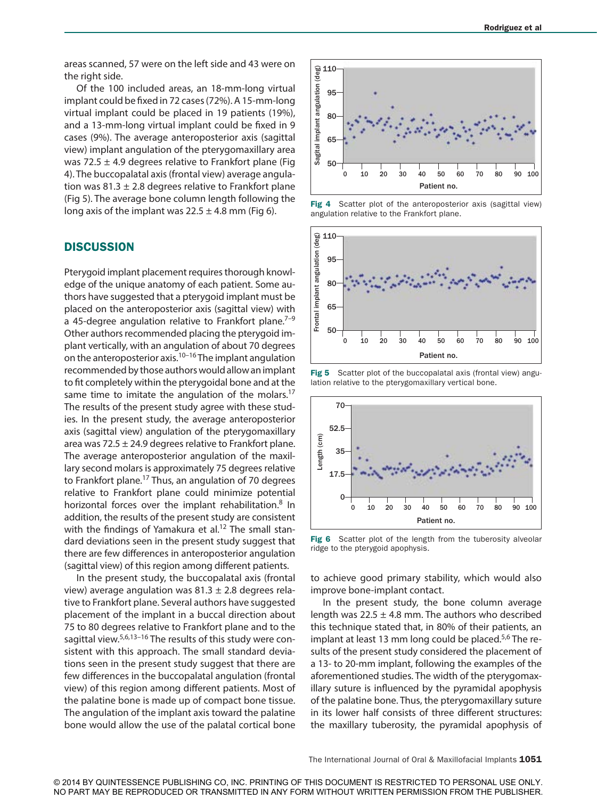areas scanned, 57 were on the left side and 43 were on the right side.

Of the 100 included areas, an 18-mm-long virtual implant could be fixed in 72 cases (72%). A 15-mm-long virtual implant could be placed in 19 patients (19%), and a 13-mm-long virtual implant could be fixed in 9 cases (9%). The average anteroposterior axis (sagittal view) implant angulation of the pterygomaxillary area was 72.5  $\pm$  4.9 degrees relative to Frankfort plane (Fig. 4). The buccopalatal axis (frontal view) average angulation was 81.3  $\pm$  2.8 degrees relative to Frankfort plane (Fig 5). The average bone column length following the long axis of the implant was  $22.5 \pm 4.8$  mm (Fig 6).

#### **DISCUSSION**

Pterygoid implant placement requires thorough knowledge of the unique anatomy of each patient. Some authors have suggested that a pterygoid implant must be placed on the anteroposterior axis (sagittal view) with a 45-degree angulation relative to Frankfort plane.<sup>7-9</sup> Other authors recommended placing the pterygoid implant vertically, with an angulation of about 70 degrees on the anteroposterior axis.<sup>10–16</sup> The implant angulation recommended by those authors would allow an implant to fit completely within the pterygoidal bone and at the same time to imitate the angulation of the molars.<sup>17</sup> The results of the present study agree with these studies. In the present study, the average anteroposterior axis (sagittal view) angulation of the pterygomaxillary area was 72.5  $\pm$  24.9 degrees relative to Frankfort plane. The average anteroposterior angulation of the maxillary second molars is approximately 75 degrees relative to Frankfort plane.<sup>17</sup> Thus, an angulation of 70 degrees relative to Frankfort plane could minimize potential horizontal forces over the implant rehabilitation.<sup>8</sup> In addition, the results of the present study are consistent with the findings of Yamakura et al.<sup>12</sup> The small standard deviations seen in the present study suggest that there are few differences in anteroposterior angulation (sagittal view) of this region among different patients.

In the present study, the buccopalatal axis (frontal view) average angulation was  $81.3 \pm 2.8$  degrees relative to Frankfort plane. Several authors have suggested placement of the implant in a buccal direction about 75 to 80 degrees relative to Frankfort plane and to the sagittal view.<sup>5,6,13-16</sup> The results of this study were consistent with this approach. The small standard deviations seen in the present study suggest that there are few differences in the buccopalatal angulation (frontal view) of this region among different patients. Most of the palatine bone is made up of compact bone tissue. The angulation of the implant axis toward the palatine bone would allow the use of the palatal cortical bone



Fig 4 Scatter plot of the anteroposterior axis (sagittal view) angulation relative to the Frankfort plane.



Fig 5 Scatter plot of the buccopalatal axis (frontal view) angulation relative to the pterygomaxillary vertical bone.



Fig 6 Scatter plot of the length from the tuberosity alveolar ridge to the pterygoid apophysis.

to achieve good primary stability, which would also improve bone-implant contact.

In the present study, the bone column average length was  $22.5 \pm 4.8$  mm. The authors who described this technique stated that, in 80% of their patients, an implant at least 13 mm long could be placed.<sup>5,6</sup> The results of the present study considered the placement of a 13- to 20-mm implant, following the examples of the aforementioned studies. The width of the pterygomaxillary suture is influenced by the pyramidal apophysis of the palatine bone. Thus, the pterygomaxillary suture in its lower half consists of three different structures: the maxillary tuberosity, the pyramidal apophysis of